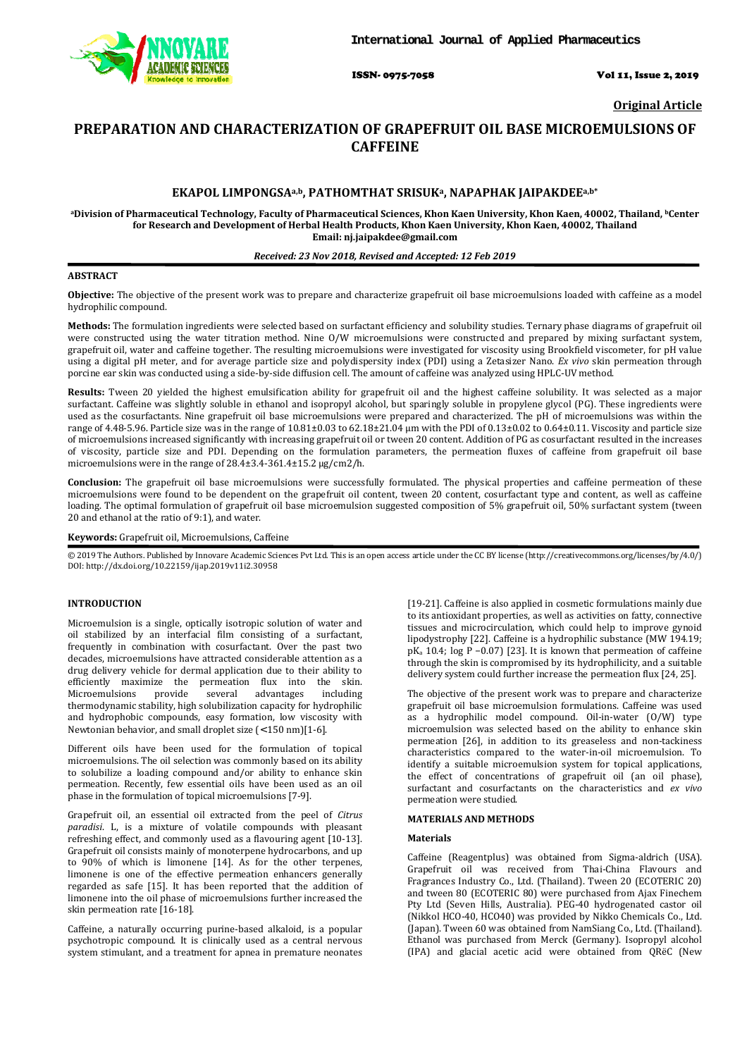

ISSN- 0975-7058 Vol 11, Issue 2, 2019

**Original Article** 

# **PREPARATION AND CHARACTERIZATION OF GRAPEFRUIT OIL BASE MICROEMULSIONS OF CAFFEINE**

# **EKAPOL LIMPONGSAa,b, PATHOMTHAT SRISUKa, NAPAPHAK JAIPAKDEEa,b\***

**<sup>a</sup>Division of Pharmaceutical Technology, Faculty of Pharmaceutical Sciences, Khon Kaen University, Khon Kaen, 40002, Thailand, bCenter for Research and Development of Herbal Health Products, Khon Kaen University, Khon Kaen, 40002, Thailand Email: nj.jaipakdee@gmail.com** 

# *Received: 23 Nov 2018, Revised and Accepted: 12 Feb 2019*

# **ABSTRACT**

**Objective:** The objective of the present work was to prepare and characterize grapefruit oil base microemulsions loaded with caffeine as a model hydrophilic compound.

**Methods:** The formulation ingredients were selected based on surfactant efficiency and solubility studies. Ternary phase diagrams of grapefruit oil were constructed using the water titration method. Nine O/W microemulsions were constructed and prepared by mixing surfactant system, grapefruit oil, water and caffeine together. The resulting microemulsions were investigated for viscosity using Brookfield viscometer, for pH value using a digital pH meter, and for average particle size and polydispersity index (PDI) using a Zetasizer Nano. *Ex vivo* skin permeation through porcine ear skin was conducted using a side-by-side diffusion cell. The amount of caffeine was analyzed using HPLC-UV method.

**Results:** Tween 20 yielded the highest emulsification ability for grapefruit oil and the highest caffeine solubility. It was selected as a major surfactant. Caffeine was slightly soluble in ethanol and isopropyl alcohol, but sparingly soluble in propylene glycol (PG). These ingredients were used as the cosurfactants. Nine grapefruit oil base microemulsions were prepared and characterized. The pH of microemulsions was within the range of 4.48-5.96. Particle size was in the range of 10.81±0.03 to 62.18±21.04 µm with the PDI of 0.13±0.02 to 0.64±0.11. Viscosity and particle size of microemulsions increased significantly with increasing grapefruit oil or tween 20 content. Addition of PG as cosurfactant resulted in the increases of viscosity, particle size and PDI. Depending on the formulation parameters, the permeation fluxes of caffeine from grapefruit oil base microemulsions were in the range of 28.4±3.4-361.4±15.2 µg/cm2/h.

**Conclusion:** The grapefruit oil base microemulsions were successfully formulated. The physical properties and caffeine permeation of these microemulsions were found to be dependent on the grapefruit oil content, tween 20 content, cosurfactant type and content, as well as caffeine loading. The optimal formulation of grapefruit oil base microemulsion suggested composition of 5% grapefruit oil, 50% surfactant system (tween 20 and ethanol at the ratio of 9:1), and water.

# **Keywords:** Grapefruit oil, Microemulsions, Caffeine

© 2019 The Authors. Published by Innovare Academic Sciences Pvt Ltd. This is an open access article under the CC BY license (http://creativecommons.org/licenses/by/4.0/) DOI: http://dx.doi.org/10.22159/ijap.2019v11i2.30958

# **INTRODUCTION**

Microemulsion is a single, optically isotropic solution of water and oil stabilized by an interfacial film consisting of a surfactant, frequently in combination with cosurfactant. Over the past two decades, microemulsions have attracted considerable attention as a drug delivery vehicle for dermal application due to their ability to efficiently maximize the permeation flux into the skin.<br>Microemulsions provide several advantages including Microemulsions provide several advantages thermodynamic stability, high solubilization capacity for hydrophilic and hydrophobic compounds, easy formation, low viscosity with Newtonian behavior, and small droplet size (< 150 nm)[1-6].

Different oils have been used for the formulation of topical microemulsions. The oil selection was commonly based on its ability to solubilize a loading compound and/or ability to enhance skin permeation. Recently, few essential oils have been used as an oil phase in the formulation of topical microemulsions [7-9].

Grapefruit oil, an essential oil extracted from the peel of *Citrus paradisi*. L, is a mixture of volatile compounds with pleasant refreshing effect, and commonly used as a flavouring agent [10-13]. Grapefruit oil consists mainly of monoterpene hydrocarbons, and up to 90% of which is limonene [14]. As for the other terpenes, limonene is one of the effective permeation enhancers generally regarded as safe [15]. It has been reported that the addition of limonene into the oil phase of microemulsions further increased the skin permeation rate [16-18].

Caffeine, a naturally occurring purine-based alkaloid, is a popular psychotropic compound. It is clinically used as a central nervous system stimulant, and a treatment for apnea in premature neonates

[19-21]. Caffeine is also applied in cosmetic formulations mainly due to its antioxidant properties, as well as activities on fatty, connective tissues and microcirculation, which could help to improve gynoid lipodystrophy [22]. Caffeine is a hydrophilic substance (MW 194.19; pK<sub>a</sub> 10.4; log P −0.07) [23]. It is known that permeation of caffeine through the skin is compromised by its hydrophilicity, and a suitable delivery system could further increase the permeation flux [24, 25].

The objective of the present work was to prepare and characterize grapefruit oil base microemulsion formulations. Caffeine was used as a hydrophilic model compound. Oil-in-water (O/W) type microemulsion was selected based on the ability to enhance skin permeation [26], in addition to its greaseless and non-tackiness characteristics compared to the water-in-oil microemulsion. To identify a suitable microemulsion system for topical applications, the effect of concentrations of grapefruit oil (an oil phase), surfactant and cosurfactants on the characteristics and *ex vivo*  permeation were studied.

# **MATERIALS AND METHODS**

# **Materials**

Caffeine (Reagentplus) was obtained from Sigma-aldrich (USA). Grapefruit oil was received from Thai-China Flavours and Fragrances Industry Co., Ltd. (Thailand). Tween 20 (ECOTERIC 20) and tween 80 (ECOTERIC 80) were purchased from Ajax Finechem Pty Ltd (Seven Hills, Australia). PEG-40 hydrogenated castor oil (Nikkol HCO-40, HCO40) was provided by Nikko Chemicals Co., Ltd. (Japan). Tween 60 was obtained from NamSiang Co., Ltd. (Thailand). Ethanol was purchased from Merck (Germany). Isopropyl alcohol (IPA) and glacial acetic acid were obtained from QRëC (New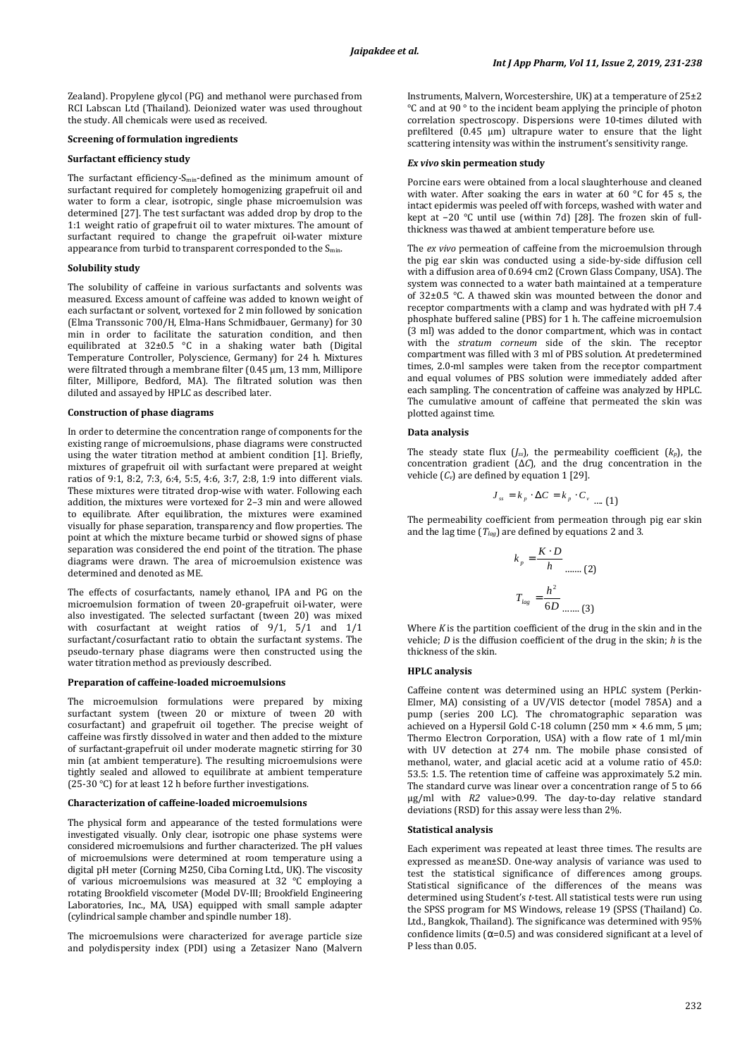Zealand). Propylene glycol (PG) and methanol were purchased from RCI Labscan Ltd (Thailand). Deionized water was used throughout the study. All chemicals were used as received.

#### **Screening of formulation ingredients**

# **Surfactant efficiency study**

The surfactant efficiency-S<sub>min</sub>-defined as the minimum amount of surfactant required for completely homogenizing grapefruit oil and water to form a clear, isotropic, single phase microemulsion was determined [27]. The test surfactant was added drop by drop to the 1:1 weight ratio of grapefruit oil to water mixtures. The amount of surfactant required to change the grapefruit oil-water mixture appearance from turbid to transparent corresponded to the S<sub>min</sub>.

# **Solubility study**

The solubility of caffeine in various surfactants and solvents was measured. Excess amount of caffeine was added to known weight of each surfactant or solvent, vortexed for 2 min followed by sonication (Elma Transsonic 700/H, Elma-Hans Schmidbauer, Germany) for 30 min in order to facilitate the saturation condition, and then equilibrated at 32±0.5 °C in a shaking water bath (Digital Temperature Controller, Polyscience, Germany) for 24 h. Mixtures were filtrated through a membrane filter (0.45 μm, 13 mm, Millipore filter, Millipore, Bedford, MA). The filtrated solution was then diluted and assayed by HPLC as described later.

#### **Construction of phase diagrams**

In order to determine the concentration range of components for the existing range of microemulsions, phase diagrams were constructed using the water titration method at ambient condition [1]. Briefly, mixtures of grapefruit oil with surfactant were prepared at weight ratios of 9:1, 8:2, 7:3, 6:4, 5:5, 4:6, 3:7, 2:8, 1:9 into different vials. These mixtures were titrated drop-wise with water. Following each addition, the mixtures were vortexed for 2–3 min and were allowed to equilibrate. After equilibration, the mixtures were examined visually for phase separation, transparency and flow properties. The point at which the mixture became turbid or showed signs of phase separation was considered the end point of the titration. The phase diagrams were drawn. The area of microemulsion existence was determined and denoted as ME.

The effects of cosurfactants, namely ethanol, IPA and PG on the microemulsion formation of tween 20-grapefruit oil-water, were also investigated. The selected surfactant (tween 20) was mixed with cosurfactant at weight ratios of 9/1, 5/1 and 1/1 surfactant/cosurfactant ratio to obtain the surfactant systems. The pseudo-ternary phase diagrams were then constructed using the water titration method as previously described.

### **Preparation of caffeine-loaded microemulsions**

The microemulsion formulations were prepared by mixing surfactant system (tween 20 or mixture of tween 20 with cosurfactant) and grapefruit oil together. The precise weight of caffeine was firstly dissolved in water and then added to the mixture of surfactant-grapefruit oil under moderate magnetic stirring for 30 min (at ambient temperature). The resulting microemulsions were tightly sealed and allowed to equilibrate at ambient temperature (25-30 °C) for at least 12 h before further investigations.

# **Characterization of caffeine-loaded microemulsions**

The physical form and appearance of the tested formulations were investigated visually. Only clear, isotropic one phase systems were considered microemulsions and further characterized. The pH values of microemulsions were determined at room temperature using a digital pH meter (Corning M250, Ciba Corning Ltd., UK). The viscosity of various microemulsions was measured at 32 °C employing a rotating Brookfield viscometer (Model DV-III; Brookfield Engineering Laboratories, Inc., MA, USA) equipped with small sample adapter (cylindrical sample chamber and spindle number 18).

The microemulsions were characterized for average particle size and polydispersity index (PDI) using a Zetasizer Nano (Malvern

Instruments, Malvern, Worcestershire, UK) at a temperature of 25±2 °C and at 90 ° to the incident beam applying the principle of photon correlation spectroscopy. Dispersions were 10-times diluted with prefiltered (0.45 µm) ultrapure water to ensure that the light scattering intensity was within the instrument's sensitivity range.

#### *Ex vivo* **skin permeation study**

Porcine ears were obtained from a local slaughterhouse and cleaned with water. After soaking the ears in water at 60 °C for 45 s, the intact epidermis was peeled off with forceps, washed with water and kept at −20 °C until use (within 7d) [28]. The frozen skin of fullthickness was thawed at ambient temperature before use.

The *ex vivo* permeation of caffeine from the microemulsion through the pig ear skin was conducted using a side-by-side diffusion cell with a diffusion area of 0.694 cm2 (Crown Glass Company, USA). The system was connected to a water bath maintained at a temperature of 32±0.5 °C. A thawed skin was mounted between the donor and receptor compartments with a clamp and was hydrated with pH 7.4 phosphate buffered saline (PBS) for 1 h. The caffeine microemulsion (3 ml) was added to the donor compartment, which was in contact with the *stratum corneum* side of the skin. The receptor compartment was filled with 3 ml of PBS solution. At predetermined times, 2.0-ml samples were taken from the receptor compartment and equal volumes of PBS solution were immediately added after each sampling. The concentration of caffeine was analyzed by HPLC. The cumulative amount of caffeine that permeated the skin was plotted against time.

### **Data analysis**

The steady state flux  $(J_{ss})$ , the permeability coefficient  $(k_p)$ , the concentration gradient (Δ*C*), and the drug concentration in the vehicle  $(C_v)$  are defined by equation 1 [29].

$$
J_{ss} = k_p \cdot \Delta C = k_p \cdot C_{v_{\text{max}}}(1)
$$

The permeability coefficient from permeation through pig ear skin and the lag time (*Tlag*) are defined by equations 2 and 3.

$$
k_p = \frac{K \cdot D}{h}
$$
 ...... (2)  

$$
T_{lag} = \frac{h^2}{6D}
$$
 ...... (3)

Where *K* is the partition coefficient of the drug in the skin and in the vehicle; *D* is the diffusion coefficient of the drug in the skin; *h* is the thickness of the skin.

# **HPLC analysis**

Caffeine content was determined using an HPLC system (Perkin-Elmer, MA) consisting of a UV/VIS detector (model 785A) and a pump (series 200 LC). The chromatographic separation was achieved on a Hypersil Gold C-18 column (250 mm × 4.6 mm, 5 μm; Thermo Electron Corporation, USA) with a flow rate of 1 ml/min with UV detection at 274 nm. The mobile phase consisted of methanol, water, and glacial acetic acid at a volume ratio of 45.0: 53.5: 1.5. The retention time of caffeine was approximately 5.2 min. The standard curve was linear over a concentration range of 5 to 66 μg/ml with *R2* value>0.99. The day-to-day relative standard deviations (RSD) for this assay were less than 2%.

# **Statistical analysis**

Each experiment was repeated at least three times. The results are expressed as mean±SD. One-way analysis of variance was used to test the statistical significance of differences among groups. Statistical significance of the differences of the means was determined using Student's *t*-test. All statistical tests were run using the SPSS program for MS Windows, release 19 (SPSS (Thailand) Co. Ltd., Bangkok, Thailand). The significance was determined with 95% confidence limits ( $\alpha$ =0.5) and was considered significant at a level of P less than 0.05.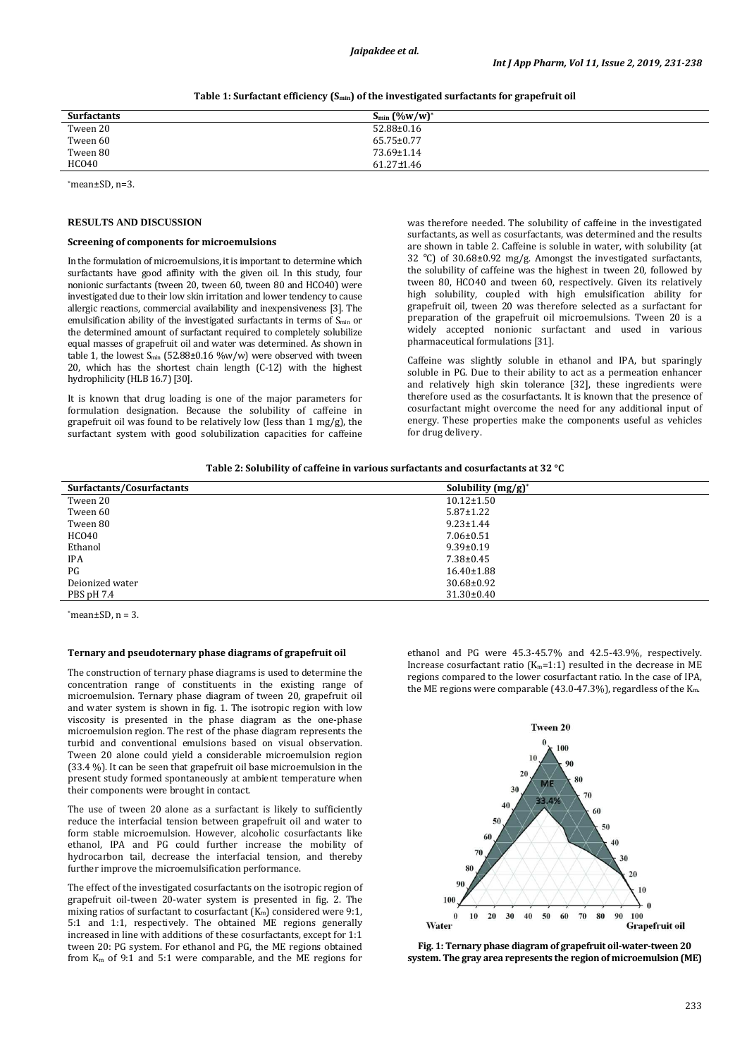*Jaipakdee et al.* 

| <b>Surfactants</b> | $S_{\min}$ (%w/w)* |
|--------------------|--------------------|
| Tween 20           | $52.88 \pm 0.16$   |
| Tween 60           | $65.75 \pm 0.77$   |
| Tween 80           | $73.69 \pm 1.14$   |
| <b>HCO40</b>       | $61.27 \pm 1.46$   |

**Table 1: Surfactant efficiency (Smin) of the investigated surfactants for grapefruit oil** 

\*mean±SD, n=3.

#### **RESULTS AND DISCUSSION**

#### **Screening of components for microemulsions**

In the formulation of microemulsions, it is important to determine which surfactants have good affinity with the given oil. In this study, four nonionic surfactants (tween 20, tween 60, tween 80 and HCO40) were investigated due to their low skin irritation and lower tendency to cause allergic reactions, commercial availability and inexpensiveness [3]. The emulsification ability of the investigated surfactants in terms of S<sub>min</sub> or the determined amount of surfactant required to completely solubilize equal masses of grapefruit oil and water was determined. As shown in table 1, the lowest  $S_{min}$  (52.88±0.16 %w/w) were observed with tween 20, which has the shortest chain length (C-12) with the highest hydrophilicity (HLB 16.7) [30].

It is known that drug loading is one of the major parameters for formulation designation. Because the solubility of caffeine in grapefruit oil was found to be relatively low (less than 1 mg/g), the surfactant system with good solubilization capacities for caffeine

was therefore needed. The solubility of caffeine in the investigated surfactants, as well as cosurfactants, was determined and the results are shown in table 2. Caffeine is soluble in water, with solubility (at 32 °C) of 30.68±0.92 mg/g. Amongst the investigated surfactants, the solubility of caffeine was the highest in tween 20, followed by tween 80, HCO40 and tween 60, respectively. Given its relatively high solubility, coupled with high emulsification ability for grapefruit oil, tween 20 was therefore selected as a surfactant for preparation of the grapefruit oil microemulsions. Tween 20 is a widely accepted nonionic surfactant and used in various pharmaceutical formulations [31].

Caffeine was slightly soluble in ethanol and IPA, but sparingly soluble in PG. Due to their ability to act as a permeation enhancer and relatively high skin tolerance [32], these ingredients were therefore used as the cosurfactants. It is known that the presence of cosurfactant might overcome the need for any additional input of energy. These properties make the components useful as vehicles for drug delivery.

|  | Table 2: Solubility of caffeine in various surfactants and cosurfactants at 32 °C |  |  |  |  |  |
|--|-----------------------------------------------------------------------------------|--|--|--|--|--|
|--|-----------------------------------------------------------------------------------|--|--|--|--|--|

| Surfactants/Cosurfactants | Solubility $(mg/g)^*$ |
|---------------------------|-----------------------|
| Tween 20                  | $10.12 \pm 1.50$      |
| Tween 60                  | $5.87 \pm 1.22$       |
| Tween 80                  | $9.23 \pm 1.44$       |
| HCO40                     | $7.06 \pm 0.51$       |
| Ethanol                   | $9.39 \pm 0.19$       |
| <b>IPA</b>                | $7.38 \pm 0.45$       |
| PG                        | $16.40 \pm 1.88$      |
| Deionized water           | $30.68 \pm 0.92$      |
| PBS pH 7.4                | $31.30 \pm 0.40$      |

 $*mean \pm SD$ ,  $n = 3$ .

#### **Ternary and pseudoternary phase diagrams of grapefruit oil**

The construction of ternary phase diagrams is used to determine the concentration range of constituents in the existing range of microemulsion. Ternary phase diagram of tween 20, grapefruit oil and water system is shown in fig. 1. The isotropic region with low viscosity is presented in the phase diagram as the one-phase microemulsion region. The rest of the phase diagram represents the turbid and conventional emulsions based on visual observation. Tween 20 alone could yield a considerable microemulsion region (33.4 %). It can be seen that grapefruit oil base microemulsion in the present study formed spontaneously at ambient temperature when their components were brought in contact.

The use of tween 20 alone as a surfactant is likely to sufficiently reduce the interfacial tension between grapefruit oil and water to form stable microemulsion. However, alcoholic cosurfactants like ethanol, IPA and PG could further increase the mobility of hydrocarbon tail, decrease the interfacial tension, and thereby further improve the microemulsification performance.

The effect of the investigated cosurfactants on the isotropic region of grapefruit oil-tween 20-water system is presented in fig. 2. The mixing ratios of surfactant to cosurfactant  $(K_m)$  considered were 9:1, 5:1 and 1:1, respectively. The obtained ME regions generally increased in line with additions of these cosurfactants, except for 1:1 tween 20: PG system. For ethanol and PG, the ME regions obtained from  $K_m$  of 9:1 and 5:1 were comparable, and the ME regions for

ethanol and PG were 45.3-45.7% and 42.5-43.9%, respectively. Increase cosurfactant ratio  $(K_m=1:1)$  resulted in the decrease in ME regions compared to the lower cosurfactant ratio. In the case of IPA, the ME regions were comparable (43.0-47.3%), regardless of the Km.



**Fig. 1: Ternary phase diagram of grapefruit oil-water-tween 20 system. The gray area represents the region of microemulsion (ME)**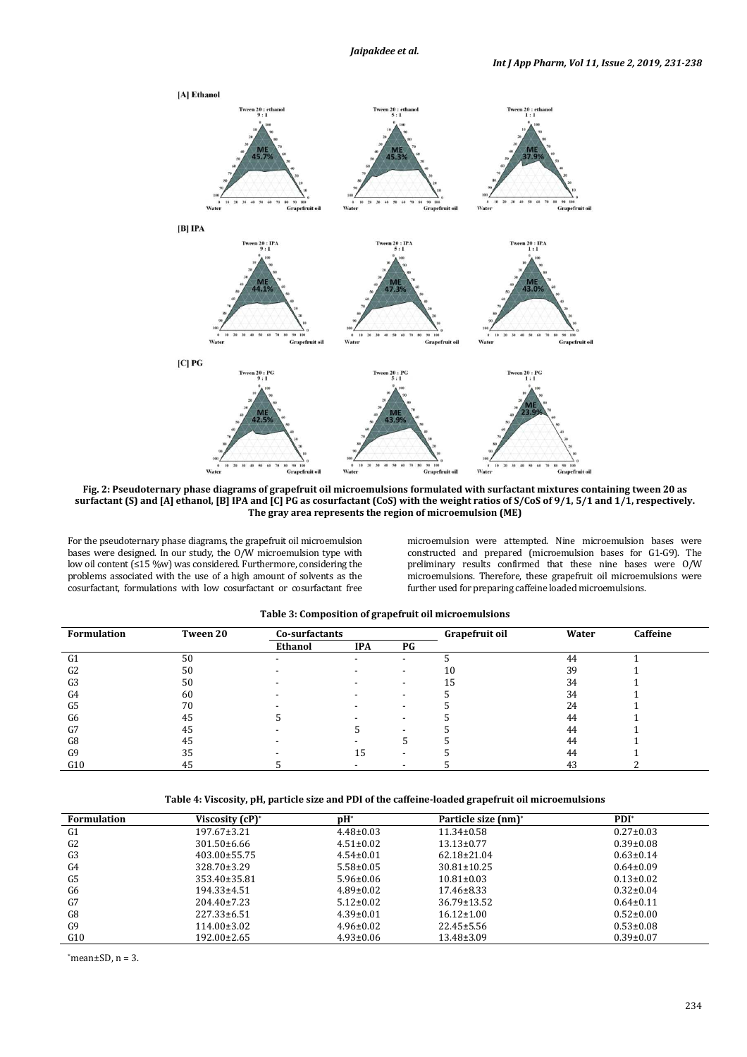

**Fig. 2: Pseudoternary phase diagrams of grapefruit oil microemulsions formulated with surfactant mixtures containing tween 20 as**  surfactant (S) and [A] ethanol, [B] IPA and [C] PG as cosurfactant (CoS) with the weight ratios of S/CoS of 9/1, 5/1 and 1/1, respectively. **The gray area represents the region of microemulsion (ME)** 

For the pseudoternary phase diagrams, the grapefruit oil microemulsion bases were designed. In our study, the O/W microemulsion type with low oil content (≤15 %w) was considered. Furthermore, considering the problems associated with the use of a high amount of solvents as the cosurfactant, formulations with low cosurfactant or cosurfactant free microemulsion were attempted. Nine microemulsion bases were constructed and prepared (microemulsion bases for G1-G9). The preliminary results confirmed that these nine bases were O/W microemulsions. Therefore, these grapefruit oil microemulsions were further used for preparing caffeine loaded microemulsions.

| Formulation    | Tween 20 | Co-surfactants |            |                          | Grapefruit oil | Water | Caffeine |  |
|----------------|----------|----------------|------------|--------------------------|----------------|-------|----------|--|
|                |          | Ethanol        | <b>IPA</b> | PG                       |                |       |          |  |
| G <sub>1</sub> | 50       |                |            | $\overline{\phantom{a}}$ |                | 44    |          |  |
| G <sub>2</sub> | 50       |                |            | -                        | 10             | 39    |          |  |
| G <sub>3</sub> | 50       |                |            | $\overline{\phantom{a}}$ | 15             | 34    |          |  |
| G4             | 60       |                |            | $\overline{\phantom{0}}$ |                | 34    |          |  |
| G5             | 70       |                |            | $\overline{\phantom{0}}$ |                | 24    |          |  |
| G6             | 45       |                |            | $\overline{\phantom{0}}$ |                | 44    |          |  |
| G7             | 45       |                |            |                          |                | 44    |          |  |
| G8             | 45       |                |            |                          |                | 44    |          |  |
| G9             | 35       |                | 15         | $\overline{\phantom{0}}$ |                | 44    |          |  |
| G10            | 45       |                |            |                          |                | 43    |          |  |

|  | Table 3: Composition of grapefruit oil microemulsions |
|--|-------------------------------------------------------|
|--|-------------------------------------------------------|

# **Table 4: Viscosity, pH, particle size and PDI of the caffeine-loaded grapefruit oil microemulsions**

| <b>Formulation</b> | Viscosity (cP)*    | pH <sup>*</sup> | Particle size (nm) <sup>*</sup> | $PDI^*$         |
|--------------------|--------------------|-----------------|---------------------------------|-----------------|
| G <sub>1</sub>     | $197.67 \pm 3.21$  | $4.48 \pm 0.03$ | $11.34 \pm 0.58$                | $0.27 \pm 0.03$ |
| G2                 | $301.50\pm 6.66$   | $4.51 \pm 0.02$ | $13.13 \pm 0.77$                | $0.39 \pm 0.08$ |
| G <sub>3</sub>     | $403.00 \pm 55.75$ | $4.54 \pm 0.01$ | $62.18 \pm 21.04$               | $0.63 \pm 0.14$ |
| G4                 | $328.70 \pm 3.29$  | $5.58 \pm 0.05$ | $30.81 \pm 10.25$               | $0.64 \pm 0.09$ |
| G5                 | 353.40±35.81       | $5.96 \pm 0.06$ | $10.81 \pm 0.03$                | $0.13 \pm 0.02$ |
| G6                 | $194.33 \pm 4.51$  | $4.89 \pm 0.02$ | $17.46 \pm 8.33$                | $0.32 \pm 0.04$ |
| G7                 | $204.40 \pm 7.23$  | $5.12 \pm 0.02$ | $36.79 \pm 13.52$               | $0.64 \pm 0.11$ |
| G8                 | $227.33 \pm 6.51$  | $4.39 \pm 0.01$ | $16.12 \pm 1.00$                | $0.52 \pm 0.00$ |
| G9                 | $114.00 \pm 3.02$  | $4.96 \pm 0.02$ | $22.45 \pm 5.56$                | $0.53 \pm 0.08$ |
| G10                | $192.00 \pm 2.65$  | $4.93 \pm 0.06$ | $13.48 \pm 3.09$                | $0.39 \pm 0.07$ |

 $*$ mean $\pm$ SD, n = 3.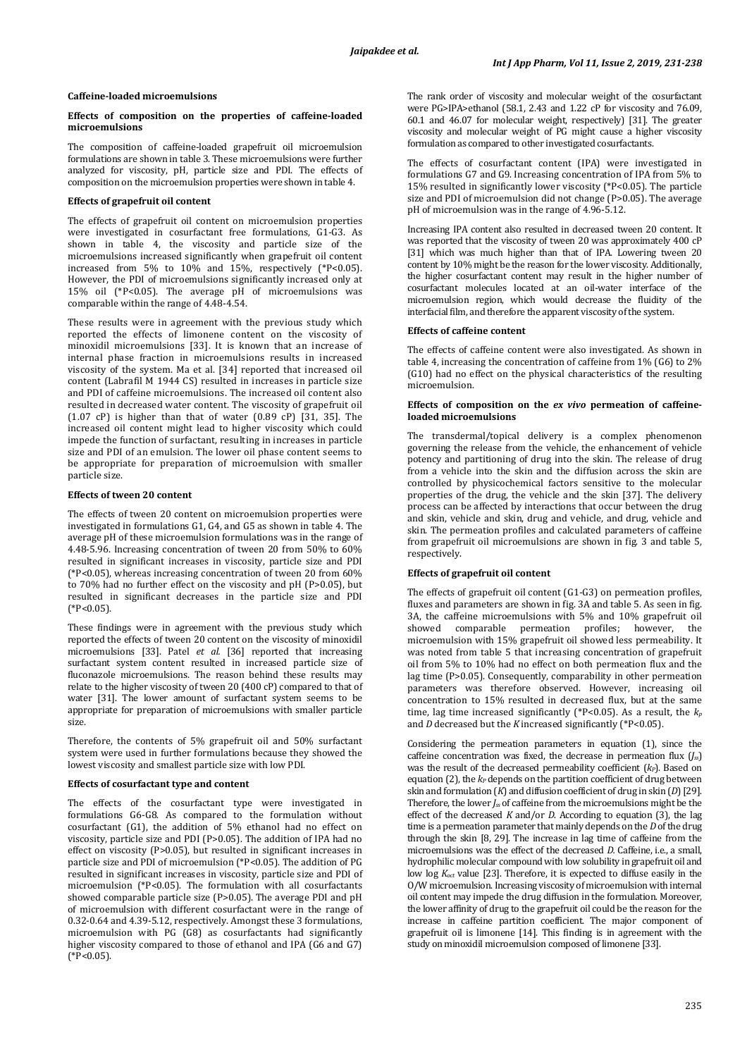### **Caffeine-loaded microemulsions**

## **Effects of composition on the properties of caffeine-loaded microemulsions**

The composition of caffeine-loaded grapefruit oil microemulsion formulations are shown in table 3. These microemulsions were further analyzed for viscosity, pH, particle size and PDI. The effects of composition on the microemulsion properties were shown in table 4.

# **Effects of grapefruit oil content**

The effects of grapefruit oil content on microemulsion properties were investigated in cosurfactant free formulations, G1-G3. As shown in table 4, the viscosity and particle size of the microemulsions increased significantly when grapefruit oil content increased from 5% to  $10\%$  and 15%, respectively (\*P<0.05). However, the PDI of microemulsions significantly increased only at 15% oil (\*P<0.05). The average pH of microemulsions was comparable within the range of 4.48-4.54.

These results were in agreement with the previous study which reported the effects of limonene content on the viscosity of minoxidil microemulsions [33]. It is known that an increase of internal phase fraction in microemulsions results in increased viscosity of the system. Ma et al. [34] reported that increased oil content (Labrafil M 1944 CS) resulted in increases in particle size and PDI of caffeine microemulsions. The increased oil content also resulted in decreased water content. The viscosity of grapefruit oil (1.07 cP) is higher than that of water (0.89 cP) [31, 35]. The increased oil content might lead to higher viscosity which could impede the function of surfactant, resulting in increases in particle size and PDI of an emulsion. The lower oil phase content seems to be appropriate for preparation of microemulsion with smaller particle size.

### **Effects of tween 20 content**

The effects of tween 20 content on microemulsion properties were investigated in formulations G1, G4, and G5 as shown in table 4. The average pH of these microemulsion formulations was in the range of 4.48-5.96. Increasing concentration of tween 20 from 50% to 60% resulted in significant increases in viscosity, particle size and PDI (\*P<0.05), whereas increasing concentration of tween 20 from 60% to 70% had no further effect on the viscosity and pH (P>0.05), but resulted in significant decreases in the particle size and PDI  $(*P<0.05)$ .

These findings were in agreement with the previous study which reported the effects of tween 20 content on the viscosity of minoxidil microemulsions [33]. Patel *et al.* [36] reported that increasing surfactant system content resulted in increased particle size of fluconazole microemulsions. The reason behind these results may relate to the higher viscosity of tween 20 (400 cP) compared to that of water [31]. The lower amount of surfactant system seems to be appropriate for preparation of microemulsions with smaller particle size.

Therefore, the contents of 5% grapefruit oil and 50% surfactant system were used in further formulations because they showed the lowest viscosity and smallest particle size with low PDI.

#### **Effects of cosurfactant type and content**

The effects of the cosurfactant type were investigated in formulations G6-G8. As compared to the formulation without cosurfactant (G1), the addition of 5% ethanol had no effect on viscosity, particle size and PDI (P>0.05). The addition of IPA had no effect on viscosity (P>0.05), but resulted in significant increases in particle size and PDI of microemulsion (\*P<0.05). The addition of PG resulted in significant increases in viscosity, particle size and PDI of microemulsion (\*P<0.05). The formulation with all cosurfactants showed comparable particle size (P>0.05). The average PDI and pH of microemulsion with different cosurfactant were in the range of 0.32-0.64 and 4.39-5.12, respectively. Amongst these 3 formulations, microemulsion with PG (G8) as cosurfactants had significantly higher viscosity compared to those of ethanol and IPA (G6 and G7)  $(*P<0.05)$ .

The rank order of viscosity and molecular weight of the cosurfactant were PG>IPA>ethanol (58.1, 2.43 and 1.22 cP for viscosity and 76.09, 60.1 and 46.07 for molecular weight, respectively) [31]. The greater viscosity and molecular weight of PG might cause a higher viscosity formulation as compared to other investigated cosurfactants.

The effects of cosurfactant content (IPA) were investigated in formulations G7 and G9. Increasing concentration of IPA from 5% to 15% resulted in significantly lower viscosity (\*P<0.05). The particle size and PDI of microemulsion did not change (P>0.05). The average pH of microemulsion was in the range of 4.96-5.12.

Increasing IPA content also resulted in decreased tween 20 content. It was reported that the viscosity of tween 20 was approximately 400 cP [31] which was much higher than that of IPA. Lowering tween 20 content by 10% might be the reason for the lower viscosity. Additionally, the higher cosurfactant content may result in the higher number of cosurfactant molecules located at an oil-water interface of the microemulsion region, which would decrease the fluidity of the interfacial film, and therefore the apparent viscosity of the system.

# **Effects of caffeine content**

The effects of caffeine content were also investigated. As shown in table 4, increasing the concentration of caffeine from 1% (G6) to 2% (G10) had no effect on the physical characteristics of the resulting microemulsion.

# **Effects of composition on the** *ex vivo* **permeation of caffeineloaded microemulsions**

The transdermal/topical delivery is a complex phenomenon governing the release from the vehicle, the enhancement of vehicle potency and partitioning of drug into the skin. The release of drug from a vehicle into the skin and the diffusion across the skin are controlled by physicochemical factors sensitive to the molecular properties of the drug, the vehicle and the skin [37]. The delivery process can be affected by interactions that occur between the drug and skin, vehicle and skin, drug and vehicle, and drug, vehicle and skin. The permeation profiles and calculated parameters of caffeine from grapefruit oil microemulsions are shown in fig. 3 and table 5, respectively.

#### **Effects of grapefruit oil content**

The effects of grapefruit oil content (G1-G3) on permeation profiles, fluxes and parameters are shown in fig. 3A and table 5. As seen in fig. 3A, the caffeine microemulsions with 5% and 10% grapefruit oil showed comparable permeation profiles; however, the microemulsion with 15% grapefruit oil showed less permeability. It was noted from table 5 that increasing concentration of grapefruit oil from 5% to 10% had no effect on both permeation flux and the lag time (P>0.05). Consequently, comparability in other permeation parameters was therefore observed. However, increasing oil concentration to 15% resulted in decreased flux, but at the same time, lag time increased significantly (\*P<0.05). As a result, the *k<sup>p</sup>* and *D* decreased but the *K* increased significantly (\*P<0.05).

Considering the permeation parameters in equation (1), since the caffeine concentration was fixed, the decrease in permeation flux (*Jss*) was the result of the decreased permeability coefficient (*kP*). Based on equation (2), the *kP* depends on the partition coefficient of drug between skin and formulation (*K*) and diffusion coefficient of drug in skin (*D*) [29]. Therefore, the lower  $J_s$  of caffeine from the microemulsions might be the effect of the decreased *K* and/or *D*. According to equation (3), the lag time is a permeation parameter that mainly depends on the *D* of the drug through the skin [8, 29]. The increase in lag time of caffeine from the microemulsions was the effect of the decreased *D*. Caffeine, i.e., a small hydrophilic molecular compound with low solubility in grapefruit oil and low log *Koct* value [23]. Therefore, it is expected to diffuse easily in the O/W microemulsion. Increasing viscosity of microemulsion with internal oil content may impede the drug diffusion in the formulation. Moreover, the lower affinity of drug to the grapefruit oil could be the reason for the increase in caffeine partition coefficient. The major component of grapefruit oil is limonene [14]. This finding is in agreement with the study on minoxidil microemulsion composed of limonene [33].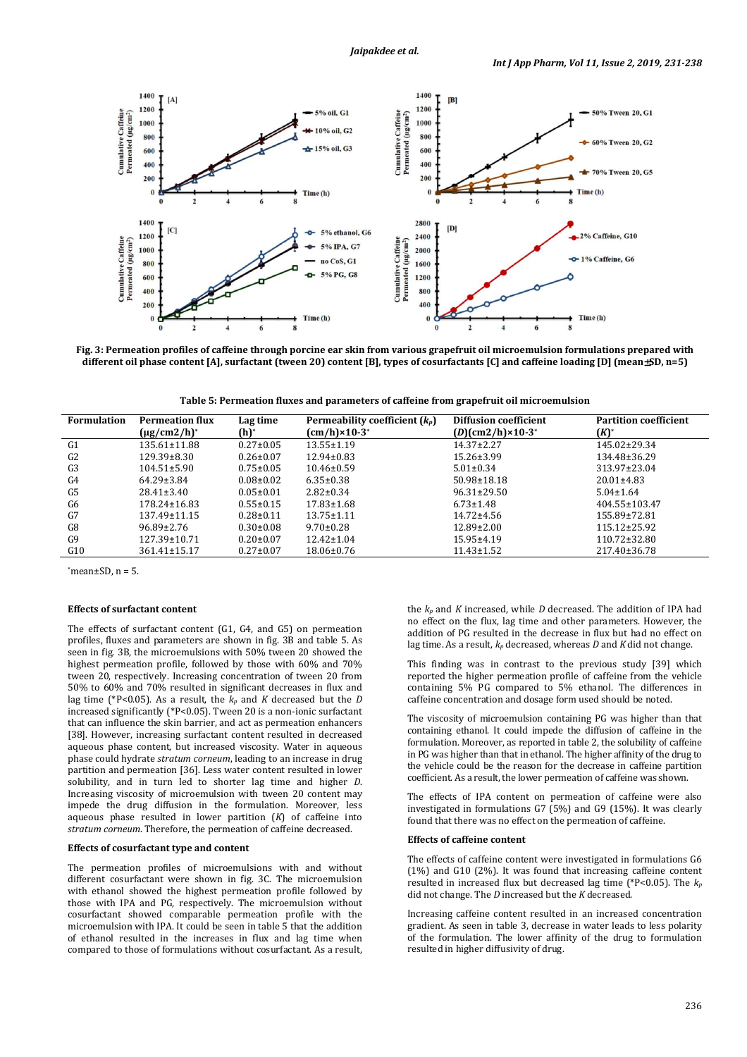

**Fig. 3: Permeation profiles of caffeine through porcine ear skin from various grapefruit oil microemulsion formulations prepared with different oil phase content [A], surfactant (tween 20) content [B], types of cosurfactants [C] and caffeine loading [D] (mean**±**SD, n=5)** 

**Table 5: Permeation fluxes and parameters of caffeine from grapefruit oil microemulsion**

| <b>Formulation</b> | <b>Permeation flux</b>       | Lag time        | Permeability coefficient $(k_p)$ | <b>Diffusion coefficient</b> | <b>Partition coefficient</b> |
|--------------------|------------------------------|-----------------|----------------------------------|------------------------------|------------------------------|
|                    | $(\mu$ g/cm2/h) <sup>*</sup> | (h)*            | $(cm/h) \times 10-3^*$           | $(D)(cm2/h) \times 10-3^*$   | (K)                          |
| G <sub>1</sub>     | 135.61±11.88                 | $0.27 \pm 0.05$ | $13.55 \pm 1.19$                 | $14.37 \pm 2.27$             | 145.02±29.34                 |
| G <sub>2</sub>     | $129.39 \pm 8.30$            | $0.26 \pm 0.07$ | $12.94 \pm 0.83$                 | $15.26 \pm 3.99$             | 134.48±36.29                 |
| G3                 | $104.51 \pm 5.90$            | $0.75 \pm 0.05$ | $10.46 \pm 0.59$                 | $5.01 \pm 0.34$              | 313.97±23.04                 |
| G4                 | $64.29 \pm 3.84$             | $0.08 \pm 0.02$ | $6.35 \pm 0.38$                  | $50.98 \pm 18.18$            | $20.01 \pm 4.83$             |
| G5                 | $28.41 \pm 3.40$             | $0.05 \pm 0.01$ | $2.82 \pm 0.34$                  | $96.31 \pm 29.50$            | $5.04 \pm 1.64$              |
| G6                 | $178.24 \pm 16.83$           | $0.55 \pm 0.15$ | $17.83 \pm 1.68$                 | $6.73 \pm 1.48$              | 404.55±103.47                |
| G7                 | $137.49 \pm 11.15$           | $0.28 \pm 0.11$ | $13.75 \pm 1.11$                 | 14.72±4.56                   | 155.89±72.81                 |
| G8                 | $96.89 \pm 2.76$             | $0.30 \pm 0.08$ | $9.70 \pm 0.28$                  | $12.89 \pm 2.00$             | $115.12 \pm 25.92$           |
| G <sub>9</sub>     | $127.39 \pm 10.71$           | $0.20 \pm 0.07$ | $12.42 \pm 1.04$                 | $15.95 \pm 4.19$             | $110.72 \pm 32.80$           |
| G10                | $361.41 \pm 15.17$           | $0.27 \pm 0.07$ | $18.06 \pm 0.76$                 | $11.43 \pm 1.52$             | 217.40±36.78                 |

 $*$ mean $\pm$ SD, n = 5.

# **Effects of surfactant content**

The effects of surfactant content (G1, G4, and G5) on permeation profiles, fluxes and parameters are shown in fig. 3B and table 5. As seen in fig. 3B, the microemulsions with 50% tween 20 showed the highest permeation profile, followed by those with 60% and 70% tween 20, respectively. Increasing concentration of tween 20 from 50% to 60% and 70% resulted in significant decreases in flux and lag time (\*P<0.05). As a result, the *kp* and *K* decreased but the *D* increased significantly (\*P<0.05). Tween 20 is a non-ionic surfactant that can influence the skin barrier, and act as permeation enhancers [38]. However, increasing surfactant content resulted in decreased aqueous phase content, but increased viscosity. Water in aqueous phase could hydrate *stratum corneum*, leading to an increase in drug partition and permeation [36]. Less water content resulted in lower solubility, and in turn led to shorter lag time and higher *D*. Increasing viscosity of microemulsion with tween 20 content may impede the drug diffusion in the formulation. Moreover, less aqueous phase resulted in lower partition (*K*) of caffeine into *stratum corneum*. Therefore, the permeation of caffeine decreased.

### **Effects of cosurfactant type and content**

The permeation profiles of microemulsions with and without different cosurfactant were shown in fig. 3C. The microemulsion with ethanol showed the highest permeation profile followed by those with IPA and PG, respectively. The microemulsion without cosurfactant showed comparable permeation profile with the microemulsion with IPA. It could be seen in table 5 that the addition of ethanol resulted in the increases in flux and lag time when compared to those of formulations without cosurfactant. As a result,

the *kp* and *K* increased, while *D* decreased. The addition of IPA had no effect on the flux, lag time and other parameters. However, the addition of PG resulted in the decrease in flux but had no effect on lag time. As a result, *kp* decreased, whereas *D* and *K* did not change.

This finding was in contrast to the previous study [39] which reported the higher permeation profile of caffeine from the vehicle containing 5% PG compared to 5% ethanol. The differences in caffeine concentration and dosage form used should be noted.

The viscosity of microemulsion containing PG was higher than that containing ethanol. It could impede the diffusion of caffeine in the formulation. Moreover, as reported in table 2, the solubility of caffeine in PG was higher than that in ethanol. The higher affinity of the drug to the vehicle could be the reason for the decrease in caffeine partition coefficient. As a result, the lower permeation of caffeine was shown.

The effects of IPA content on permeation of caffeine were also investigated in formulations G7 (5%) and G9 (15%). It was clearly found that there was no effect on the permeation of caffeine.

#### **Effects of caffeine content**

The effects of caffeine content were investigated in formulations G6 (1%) and G10 (2%). It was found that increasing caffeine content resulted in increased flux but decreased lag time (\*P<0.05). The *k<sup>p</sup>* did not change. The *D* increased but the *K* decreased.

Increasing caffeine content resulted in an increased concentration gradient. As seen in table 3, decrease in water leads to less polarity of the formulation. The lower affinity of the drug to formulation resulted in higher diffusivity of drug.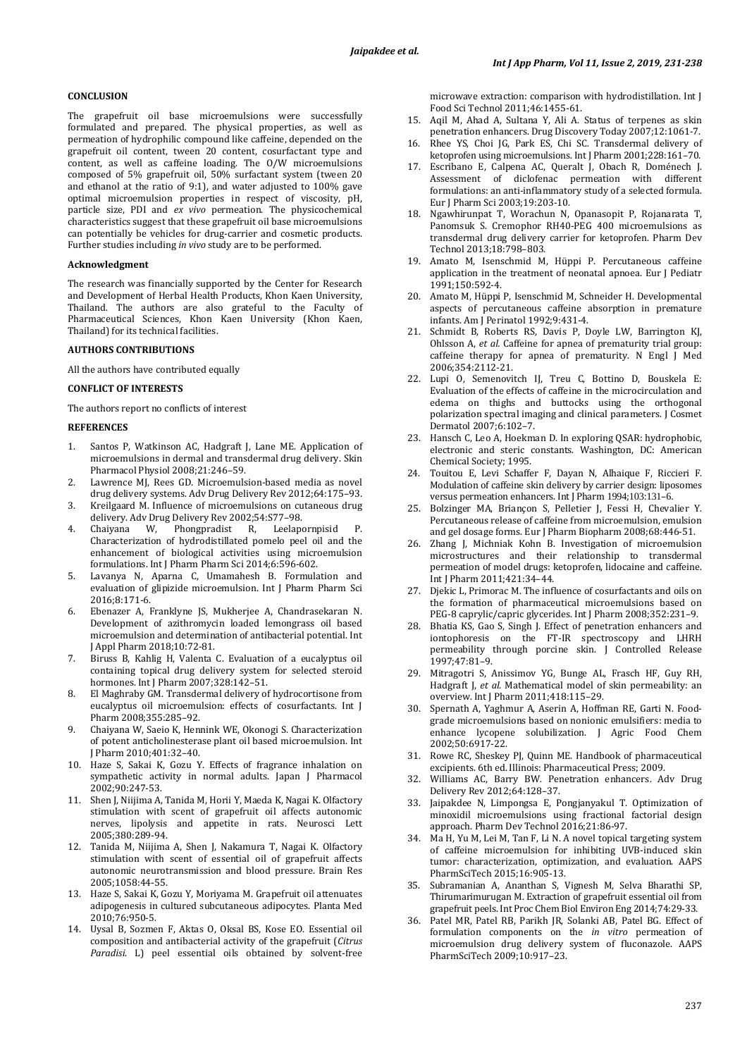# **CONCLUSION**

The grapefruit oil base microemulsions were successfully formulated and prepared. The physical properties, as well as permeation of hydrophilic compound like caffeine, depended on the grapefruit oil content, tween 20 content, cosurfactant type and content, as well as caffeine loading. The O/W microemulsions composed of 5% grapefruit oil, 50% surfactant system (tween 20 and ethanol at the ratio of 9:1), and water adjusted to 100% gave optimal microemulsion properties in respect of viscosity, pH, particle size, PDI and *ex vivo* permeation. The physicochemical characteristics suggest that these grapefruit oil base microemulsions can potentially be vehicles for drug-carrier and cosmetic products. Further studies including *in vivo* study are to be performed.

### **Acknowledgment**

The research was financially supported by the Center for Research and Development of Herbal Health Products, Khon Kaen University, Thailand. The authors are also grateful to the Faculty of Pharmaceutical Sciences, Khon Kaen University (Khon Kaen, Thailand) for its technical facilities.

# **AUTHORS CONTRIBUTIONS**

All the authors have contributed equally

#### **CONFLICT OF INTERESTS**

The authors report no conflicts of interest

#### **REFERENCES**

- 1. Santos P, Watkinson AC, Hadgraft J, Lane ME. Application of microemulsions in dermal and transdermal drug delivery. Skin Pharmacol Physiol 2008;21:246–59.
- 2. Lawrence MJ, Rees GD. Microemulsion-based media as novel drug delivery systems. Adv Drug Delivery Rev 2012;64:175–93.
- 3. Kreilgaard M. Influence of microemulsions on cutaneous drug delivery. Adv Drug Delivery Rev 2002;54:S77-98.<br>Chaiyana W. Phongpradist R. Leelap
- 4. Chaiyana W, Phongpradist R, Leelapornpisid P. Characterization of hydrodistillated pomelo peel oil and the enhancement of biological activities using microemulsion formulations. Int J Pharm Pharm Sci 2014;6:596-602.
- 5. Lavanya N, Aparna C, Umamahesh B. Formulation and evaluation of glipizide microemulsion. Int J Pharm Pharm Sci 2016;8:171-6.
- 6. Ebenazer A, Franklyne JS, Mukherjee A, Chandrasekaran N. Development of azithromycin loaded lemongrass oil based microemulsion and determination of antibacterial potential. Int J Appl Pharm 2018;10:72-81.
- 7. Biruss B, Kahlig H, Valenta C. Evaluation of a eucalyptus oil containing topical drug delivery system for selected steroid hormones. Int J Pharm 2007;328:142–51.
- 8. El Maghraby GM. Transdermal delivery of hydrocortisone from eucalyptus oil microemulsion: effects of cosurfactants. Int J Pharm 2008;355:285–92.
- 9. Chaiyana W, Saeio K, Hennink WE, Okonogi S. Characterization of potent anticholinesterase plant oil based microemulsion. Int J Pharm 2010;401:32–40.
- 10. Haze S, Sakai K, Gozu Y. Effects of fragrance inhalation on sympathetic activity in normal adults. Japan J Pharmacol 2002;90:247-53.
- 11. Shen J, Niijima A, Tanida M, Horii Y, Maeda K, Nagai K. Olfactory stimulation with scent of grapefruit oil affects autonomic nerves, lipolysis and appetite in rats. Neurosci Lett 2005;380:289-94.
- 12. Tanida M, Niijima A, Shen J, Nakamura T, Nagai K. Olfactory stimulation with scent of essential oil of grapefruit affects autonomic neurotransmission and blood pressure. Brain Res 2005;1058:44-55.
- 13. Haze S, Sakai K, Gozu Y, Moriyama M. Grapefruit oil attenuates adipogenesis in cultured subcutaneous adipocytes. Planta Med 2010;76:950-5.
- 14. Uysal B, Sozmen F, Aktas O, Oksal BS, Kose EO. Essential oil composition and antibacterial activity of the grapefruit (*Citrus Paradisi*. L) peel essential oils obtained by solvent-free

microwave extraction: comparison with hydrodistillation. Int J Food Sci Technol 2011;46:1455-61.

- 15. Aqil M, Ahad A, Sultana Y, Ali A. Status of terpenes as skin penetration enhancers. Drug Discovery Today 2007;12:1061-7.
- 16. Rhee YS, Choi JG, Park ES, Chi SC. Transdermal delivery of ketoprofen using microemulsions. Int J Pharm 2001;228:161–70.
- 17. Escribano E, Calpena AC, Queralt J, Obach R, Doménech J. Assessment of diclofenac permeation with different formulations: an anti-inflammatory study of a selected formula. Eur J Pharm Sci 2003;19:203-10.
- 18. Ngawhirunpat T, Worachun N, Opanasopit P, Rojanarata T, Panomsuk S. Cremophor RH40-PEG 400 microemulsions as transdermal drug delivery carrier for ketoprofen. Pharm Dev Technol 2013;18:798–803.
- 19. Amato M, Isenschmid M, Hüppi P. Percutaneous caffeine application in the treatment of neonatal apnoea. Eur J Pediatr 1991;150:592-4.
- 20. Amato M, Hüppi P, Isenschmid M, Schneider H. Developmental aspects of percutaneous caffeine absorption in premature infants. Am J Perinatol 1992;9:431-4.
- 21. Schmidt B, Roberts RS, Davis P, Doyle LW, Barrington KJ, Ohlsson A, *et al.* Caffeine for apnea of prematurity trial group: caffeine therapy for apnea of prematurity. N Engl J Med 2006;354:2112-21.
- 22. Lupi O, Semenovitch IJ, Treu C, Bottino D, Bouskela E: Evaluation of the effects of caffeine in the microcirculation and edema on thighs and buttocks using the orthogonal polarization spectral imaging and clinical parameters. J Cosmet Dermatol 2007;6:102–7.
- 23. Hansch C, Leo A, Hoekman D. In exploring QSAR: hydrophobic, electronic and steric constants. Washington, DC: American Chemical Society; 1995.
- 24. Touitou E, Levi Schaffer F, Dayan N, Alhaique F, Riccieri F. Modulation of caffeine skin delivery by carrier design: liposomes versus permeation enhancers. Int J Pharm 1994;103:131–6.
- 25. Bolzinger MA, Briançon S, Pelletier J, Fessi H, Chevalier Y. Percutaneous release of caffeine from microemulsion, emulsion and gel dosage forms. Eur J Pharm Biopharm 2008;68:446-51.
- 26. Zhang J, Michniak Kohn B. Investigation of microemulsion microstructures and their relationship to transdermal permeation of model drugs: ketoprofen, lidocaine and caffeine. Int J Pharm 2011;421:34–44.
- 27. Djekic L, Primorac M. The influence of cosurfactants and oils on the formation of pharmaceutical microemulsions based on PEG-8 caprylic/capric glycerides. Int J Pharm 2008;352:231–9.
- 28. Bhatia KS, Gao S, Singh J. Effect of penetration enhancers and iontophoresis on the FT-IR spectroscopy and LHRH permeability through porcine skin. J Controlled Release 1997;47:81–9.
- 29. Mitragotri S, Anissimov YG, Bunge AL, Frasch HF, Guy RH, Hadgraft J, *et al.* Mathematical model of skin permeability: an overview. Int J Pharm 2011;418:115–29.
- 30. Spernath A, Yaghmur A, Aserin A, Hoffman RE, Garti N. Foodgrade microemulsions based on nonionic emulsifiers: media to enhance lycopene solubilization. J Agric Food Chem 2002;50:6917-22.
- 31. Rowe RC, Sheskey PJ, Quinn ME. Handbook of pharmaceutical excipients. 6th ed. Illinois: Pharmaceutical Press; 2009.
- 32. Williams AC, Barry BW. Penetration enhancers. Adv Drug Delivery Rev 2012;64:128–37.
- 33. Jaipakdee N, Limpongsa E, Pongjanyakul T. Optimization of minoxidil microemulsions using fractional factorial design approach. Pharm Dev Technol 2016;21:86-97.
- 34. Ma H, Yu M, Lei M, Tan F, Li N. A novel topical targeting system of caffeine microemulsion for inhibiting UVB-induced skin tumor: characterization, optimization, and evaluation. AAPS PharmSciTech 2015;16:905-13.
- 35. Subramanian A, Ananthan S, Vignesh M, Selva Bharathi SP, Thirumarimurugan M. Extraction of grapefruit essential oil from grapefruit peels. Int Proc Chem Biol Environ Eng 2014;74:29-33.
- 36. Patel MR, Patel RB, Parikh JR, Solanki AB, Patel BG. Effect of formulation components on the *in vitro* permeation of microemulsion drug delivery system of fluconazole. AAPS PharmSciTech 2009;10:917–23.